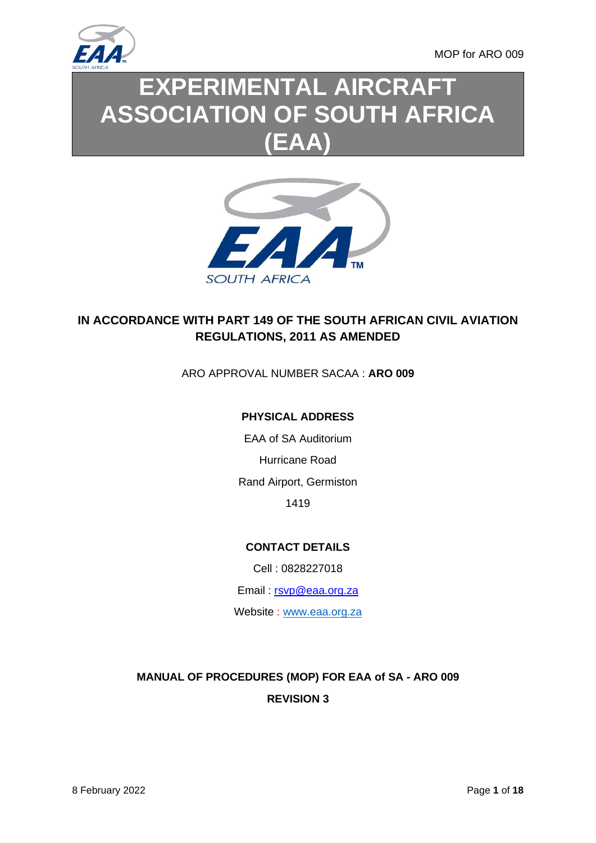

MOP for ARO 009

# **EXPERIMENTAL AIRCRAFT ASSOCIATION OF SOUTH AFRICA (EAA)**



## **IN ACCORDANCE WITH PART 149 OF THE SOUTH AFRICAN CIVIL AVIATION REGULATIONS, 2011 AS AMENDED**

#### ARO APPROVAL NUMBER SACAA : **ARO 009**

#### **PHYSICAL ADDRESS**

EAA of SA Auditorium Hurricane Road Rand Airport, Germiston 1419

#### **CONTACT DETAILS**

Cell : 0828227018

Email : [rsvp@eaa.org.za](mailto:rsvp@eaa.org.za)

Website : [www.eaa.org.za](http://www.eaa.org.za/)

# **MANUAL OF PROCEDURES (MOP) FOR EAA of SA - ARO 009 REVISION 3**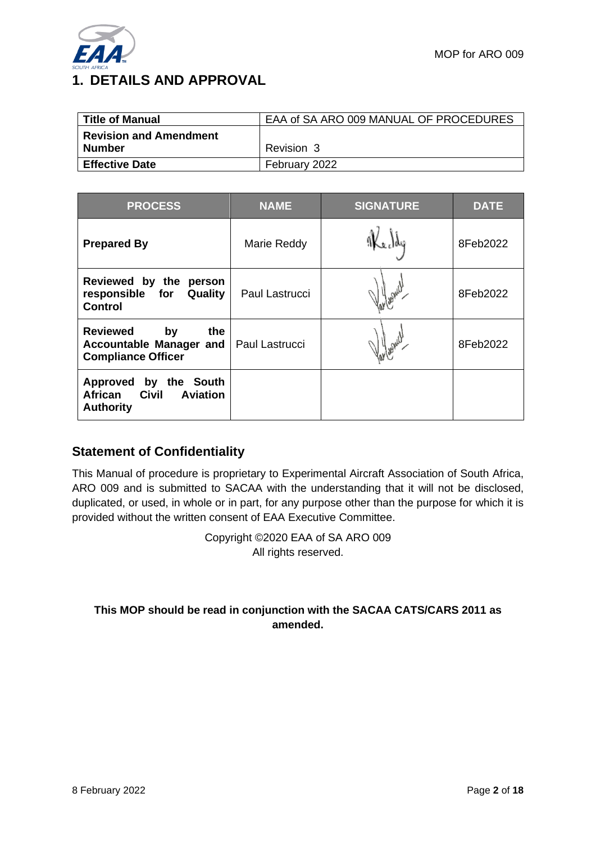

| <b>Title of Manual</b>                  | EAA of SA ARO 009 MANUAL OF PROCEDURES |
|-----------------------------------------|----------------------------------------|
| <b>Revision and Amendment</b><br>Number | Revision 3                             |
| <b>Effective Date</b>                   | February 2022                          |

| <b>PROCESS</b>                                                                                    | <b>NAME</b>    | <b>SIGNATURE</b> | <b>DATE</b> |
|---------------------------------------------------------------------------------------------------|----------------|------------------|-------------|
| <b>Prepared By</b>                                                                                | Marie Reddy    |                  | 8Feb2022    |
| Reviewed by the<br>person<br>responsible for<br>Quality<br><b>Control</b>                         | Paul Lastrucci |                  | 8Feb2022    |
| <b>Reviewed</b><br>the.<br>by<br>Accountable Manager and<br><b>Compliance Officer</b>             | Paul Lastrucci |                  | 8Feb2022    |
| <b>Approved</b><br>by the South<br><b>Civil</b><br>African<br><b>Aviation</b><br><b>Authority</b> |                |                  |             |

### **Statement of Confidentiality**

This Manual of procedure is proprietary to Experimental Aircraft Association of South Africa, ARO 009 and is submitted to SACAA with the understanding that it will not be disclosed, duplicated, or used, in whole or in part, for any purpose other than the purpose for which it is provided without the written consent of EAA Executive Committee.

> Copyright ©2020 EAA of SA ARO 009 All rights reserved.

#### **This MOP should be read in conjunction with the SACAA CATS/CARS 2011 as amended.**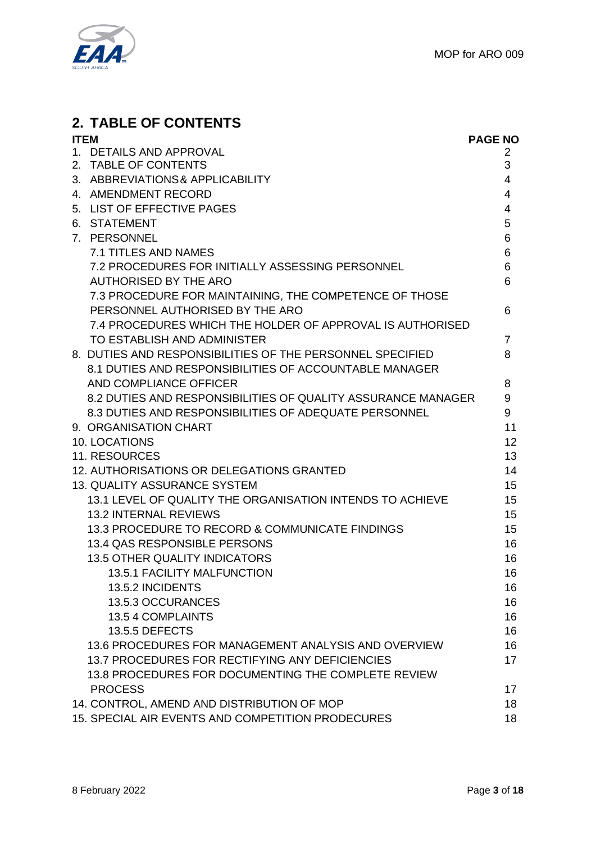

# **2. TABLE OF CONTENTS**

| <b>ITEM</b> |                                                              | <b>PAGE NO</b> |
|-------------|--------------------------------------------------------------|----------------|
|             | 1. DETAILS AND APPROVAL                                      | 2              |
| 2.          | <b>TABLE OF CONTENTS</b>                                     | 3              |
|             | 3. ABBREVIATIONS & APPLICABILITY                             | 4              |
|             | 4. AMENDMENT RECORD                                          | 4              |
|             | 5. LIST OF EFFECTIVE PAGES                                   | 4              |
|             | 6. STATEMENT                                                 | 5              |
|             | 7. PERSONNEL                                                 | 6              |
|             | <b>7.1 TITLES AND NAMES</b>                                  | 6              |
|             | 7.2 PROCEDURES FOR INITIALLY ASSESSING PERSONNEL             | 6              |
|             | <b>AUTHORISED BY THE ARO</b>                                 | 6              |
|             | 7.3 PROCEDURE FOR MAINTAINING, THE COMPETENCE OF THOSE       |                |
|             | PERSONNEL AUTHORISED BY THE ARO                              | 6              |
|             | 7.4 PROCEDURES WHICH THE HOLDER OF APPROVAL IS AUTHORISED    |                |
|             | TO ESTABLISH AND ADMINISTER                                  | 7              |
|             | 8. DUTIES AND RESPONSIBILITIES OF THE PERSONNEL SPECIFIED    | 8              |
|             | 8.1 DUTIES AND RESPONSIBILITIES OF ACCOUNTABLE MANAGER       |                |
|             | AND COMPLIANCE OFFICER                                       | 8              |
|             | 8.2 DUTIES AND RESPONSIBILITIES OF QUALITY ASSURANCE MANAGER | 9              |
|             | 8.3 DUTIES AND RESPONSIBILITIES OF ADEQUATE PERSONNEL        | 9              |
|             | 9. ORGANISATION CHART                                        | 11             |
|             | 10. LOCATIONS                                                | 12             |
|             | 11. RESOURCES                                                | 13             |
|             | 12. AUTHORISATIONS OR DELEGATIONS GRANTED                    | 14             |
|             | <b>13. QUALITY ASSURANCE SYSTEM</b>                          | 15             |
|             | 13.1 LEVEL OF QUALITY THE ORGANISATION INTENDS TO ACHIEVE    | 15             |
|             | <b>13.2 INTERNAL REVIEWS</b>                                 | 15             |
|             | 13.3 PROCEDURE TO RECORD & COMMUNICATE FINDINGS              | 15             |
|             | 13.4 QAS RESPONSIBLE PERSONS                                 | 16             |
|             | <b>13.5 OTHER QUALITY INDICATORS</b>                         | 16             |
|             | <b>13.5.1 FACILITY MALFUNCTION</b>                           | 16             |
|             | 13.5.2 INCIDENTS                                             | 16             |
|             | 13.5.3 OCCURANCES                                            | 16             |
|             | 13.5 4 COMPLAINTS                                            | 16             |
|             | 13.5.5 DEFECTS                                               | 16             |
|             | 13.6 PROCEDURES FOR MANAGEMENT ANALYSIS AND OVERVIEW         | 16             |
|             | 13.7 PROCEDURES FOR RECTIFYING ANY DEFICIENCIES              | 17             |
|             | 13.8 PROCEDURES FOR DOCUMENTING THE COMPLETE REVIEW          |                |
|             | <b>PROCESS</b>                                               | 17             |
|             | 14. CONTROL, AMEND AND DISTRIBUTION OF MOP                   | 18             |
|             | 15. SPECIAL AIR EVENTS AND COMPETITION PRODECURES            | 18             |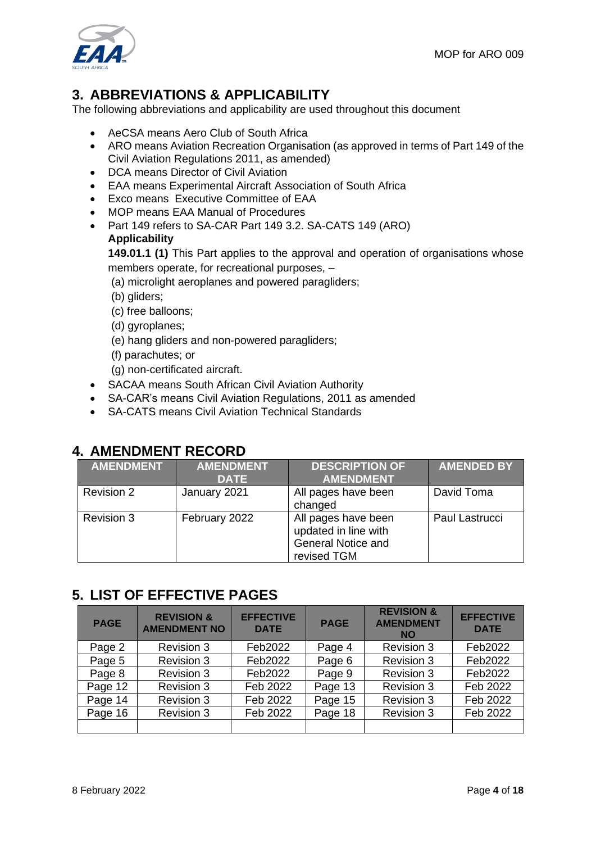

# **3. ABBREVIATIONS & APPLICABILITY**

The following abbreviations and applicability are used throughout this document

- AeCSA means Aero Club of South Africa
- ARO means Aviation Recreation Organisation (as approved in terms of Part 149 of the Civil Aviation Regulations 2011, as amended)
- DCA means Director of Civil Aviation
- EAA means Experimental Aircraft Association of South Africa
- Exco means Executive Committee of EAA
- MOP means EAA Manual of Procedures
- Part 149 refers to SA-CAR Part 149 3.2. SA-CATS 149 (ARO) **Applicability**

**149.01.1 (1)** This Part applies to the approval and operation of organisations whose members operate, for recreational purposes, –

(a) microlight aeroplanes and powered paragliders;

(b) gliders;

- (c) free balloons;
- (d) gyroplanes;
- (e) hang gliders and non-powered paragliders;
- (f) parachutes; or

(g) non-certificated aircraft.

- SACAA means South African Civil Aviation Authority
- SA-CAR's means Civil Aviation Regulations, 2011 as amended
- SA-CATS means Civil Aviation Technical Standards

# **4. AMENDMENT RECORD**

| <b>AMENDMENT</b>  | <b>AMENDMENT</b><br><b>DATE</b> | <b>DESCRIPTION OF</b><br><b>AMENDMENT</b>                                               | <b>AMENDED BY</b> |
|-------------------|---------------------------------|-----------------------------------------------------------------------------------------|-------------------|
| <b>Revision 2</b> | January 2021                    | All pages have been<br>changed                                                          | David Toma        |
| <b>Revision 3</b> | February 2022                   | All pages have been<br>updated in line with<br><b>General Notice and</b><br>revised TGM | Paul Lastrucci    |

## **5. LIST OF EFFECTIVE PAGES**

| <b>PAGE</b> | <b>REVISION &amp;</b><br><b>AMENDMENT NO</b> | <b>EFFECTIVE</b><br><b>DATE</b> | <b>PAGE</b> | <b>REVISION &amp;</b><br><b>AMENDMENT</b><br><b>NO</b> | <b>EFFECTIVE</b><br><b>DATE</b> |
|-------------|----------------------------------------------|---------------------------------|-------------|--------------------------------------------------------|---------------------------------|
| Page 2      | <b>Revision 3</b>                            | Feb2022                         | Page 4      | Revision 3                                             | Feb2022                         |
| Page 5      | <b>Revision 3</b>                            | Feb2022                         | Page 6      | <b>Revision 3</b>                                      | Feb2022                         |
| Page 8      | <b>Revision 3</b>                            | Feb2022                         | Page 9      | <b>Revision 3</b>                                      | Feb2022                         |
| Page 12     | <b>Revision 3</b>                            | Feb 2022                        | Page 13     | <b>Revision 3</b>                                      | Feb 2022                        |
| Page 14     | <b>Revision 3</b>                            | Feb 2022                        | Page 15     | <b>Revision 3</b>                                      | Feb 2022                        |
| Page 16     | <b>Revision 3</b>                            | Feb 2022                        | Page 18     | Revision 3                                             | Feb 2022                        |
|             |                                              |                                 |             |                                                        |                                 |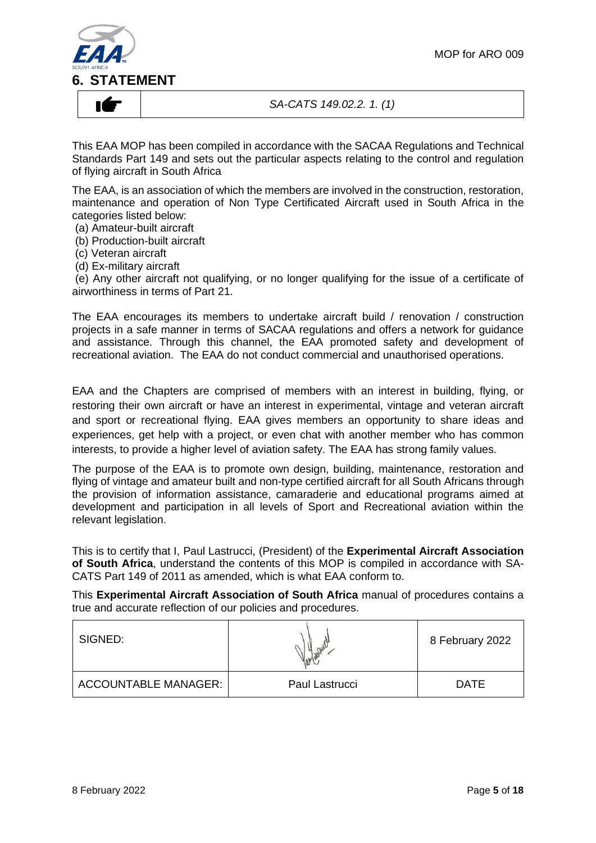

#### *SA-CATS 149.02.2. 1. (1)*

This EAA MOP has been compiled in accordance with the SACAA Regulations and Technical Standards Part 149 and sets out the particular aspects relating to the control and regulation of flying aircraft in South Africa

The EAA, is an association of which the members are involved in the construction, restoration, maintenance and operation of Non Type Certificated Aircraft used in South Africa in the categories listed below:

- (a) Amateur-built aircraft
- (b) Production-built aircraft
- (c) Veteran aircraft
- (d) Ex-military aircraft

(e) Any other aircraft not qualifying, or no longer qualifying for the issue of a certificate of airworthiness in terms of Part 21.

The EAA encourages its members to undertake aircraft build / renovation / construction projects in a safe manner in terms of SACAA regulations and offers a network for guidance and assistance. Through this channel, the EAA promoted safety and development of recreational aviation. The EAA do not conduct commercial and unauthorised operations.

EAA and the Chapters are comprised of members with an interest in building, flying, or restoring their own aircraft or have an interest in experimental, vintage and veteran aircraft and sport or recreational flying. EAA gives members an opportunity to share ideas and experiences, get help with a project, or even chat with another member who has common interests, to provide a higher level of aviation safety. The EAA has strong family values.

The purpose of the EAA is to promote own design, building, maintenance, restoration and flying of vintage and amateur built and non-type certified aircraft for all South Africans through the provision of information assistance, camaraderie and educational programs aimed at development and participation in all levels of Sport and Recreational aviation within the relevant legislation.

This is to certify that I, Paul Lastrucci, (President) of the **Experimental Aircraft Association of South Africa**, understand the contents of this MOP is compiled in accordance with SA-CATS Part 149 of 2011 as amended, which is what EAA conform to.

This **Experimental Aircraft Association of South Africa** manual of procedures contains a true and accurate reflection of our policies and procedures.

| SIGNED:                     |                | 8 February 2022 |
|-----------------------------|----------------|-----------------|
| <b>ACCOUNTABLE MANAGER:</b> | Paul Lastrucci | <b>DATE</b>     |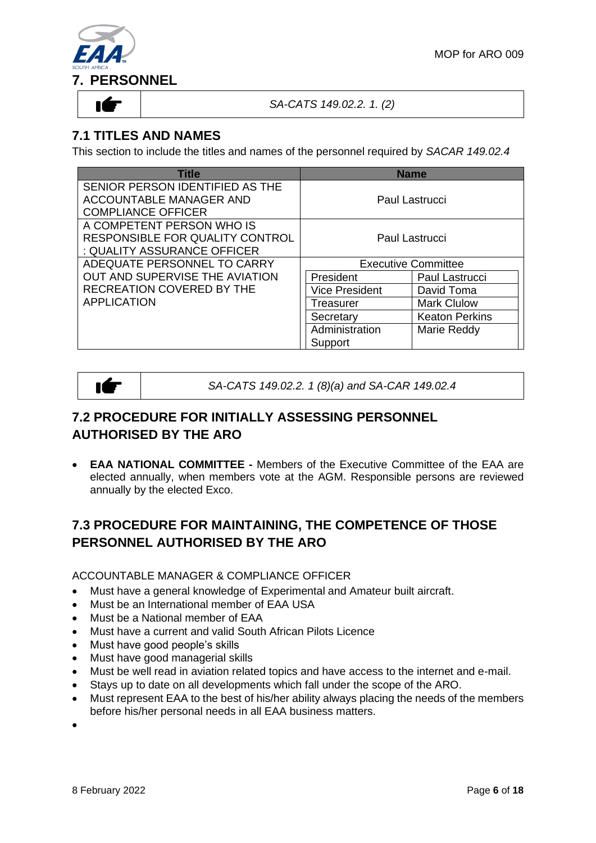

#### *SA-CATS 149.02.2. 1. (2)*

# **7.1 TITLES AND NAMES**

This section to include the titles and names of the personnel required by *SACAR 149.02.4*

| <b>Title</b>                     |                            | <b>Name</b>           |
|----------------------------------|----------------------------|-----------------------|
| SENIOR PERSON IDENTIFIED AS THE  |                            |                       |
| <b>ACCOUNTABLE MANAGER AND</b>   |                            | Paul Lastrucci        |
| <b>COMPLIANCE OFFICER</b>        |                            |                       |
| A COMPETENT PERSON WHO IS        |                            |                       |
| RESPONSIBLE FOR QUALITY CONTROL  |                            | Paul Lastrucci        |
| : QUALITY ASSURANCE OFFICER      |                            |                       |
| ADEQUATE PERSONNEL TO CARRY      | <b>Executive Committee</b> |                       |
| OUT AND SUPERVISE THE AVIATION   | President                  | Paul Lastrucci        |
| <b>RECREATION COVERED BY THE</b> | <b>Vice President</b>      | David Toma            |
| <b>APPLICATION</b>               | Treasurer                  | <b>Mark Clulow</b>    |
|                                  | Secretary                  | <b>Keaton Perkins</b> |
|                                  | Administration             | Marie Reddy           |
|                                  | Support                    |                       |



*SA-CATS 149.02.2. 1 (8)(a) and SA-CAR 149.02.4*

# **7.2 PROCEDURE FOR INITIALLY ASSESSING PERSONNEL AUTHORISED BY THE ARO**

• **EAA NATIONAL COMMITTEE -** Members of the Executive Committee of the EAA are elected annually, when members vote at the AGM. Responsible persons are reviewed annually by the elected Exco.

# **7.3 PROCEDURE FOR MAINTAINING, THE COMPETENCE OF THOSE PERSONNEL AUTHORISED BY THE ARO**

ACCOUNTABLE MANAGER & COMPLIANCE OFFICER

- Must have a general knowledge of Experimental and Amateur built aircraft.
- Must be an International member of EAA USA
- Must be a National member of EAA
- Must have a current and valid South African Pilots Licence
- Must have good people's skills
- Must have good managerial skills
- Must be well read in aviation related topics and have access to the internet and e-mail.
- Stays up to date on all developments which fall under the scope of the ARO.
- Must represent EAA to the best of his/her ability always placing the needs of the members before his/her personal needs in all EAA business matters.

•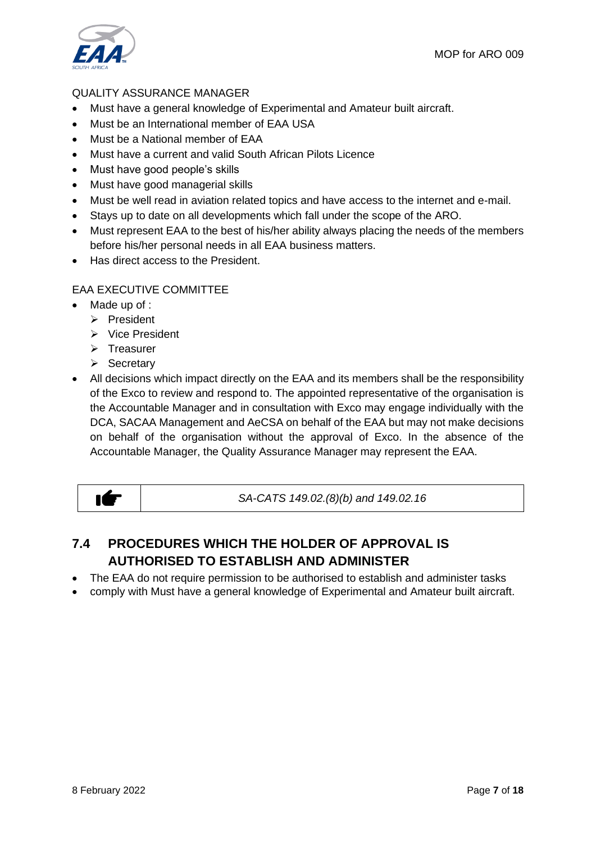

#### QUALITY ASSURANCE MANAGER

- Must have a general knowledge of Experimental and Amateur built aircraft.
- Must be an International member of EAA USA
- Must be a National member of EAA
- Must have a current and valid South African Pilots Licence
- Must have good people's skills
- Must have good managerial skills
- Must be well read in aviation related topics and have access to the internet and e-mail.
- Stays up to date on all developments which fall under the scope of the ARO.
- Must represent EAA to the best of his/her ability always placing the needs of the members before his/her personal needs in all EAA business matters.
- Has direct access to the President.

#### EAA EXECUTIVE COMMITTEE

- Made up of :
	- ➢ President
	- ➢ Vice President
	- ➢ Treasurer
	- ➢ Secretary
- All decisions which impact directly on the EAA and its members shall be the responsibility of the Exco to review and respond to. The appointed representative of the organisation is the Accountable Manager and in consultation with Exco may engage individually with the DCA, SACAA Management and AeCSA on behalf of the EAA but may not make decisions on behalf of the organisation without the approval of Exco. In the absence of the Accountable Manager, the Quality Assurance Manager may represent the EAA.

ıÉ

*SA-CATS 149.02.(8)(b) and 149.02.16*

# **7.4 PROCEDURES WHICH THE HOLDER OF APPROVAL IS AUTHORISED TO ESTABLISH AND ADMINISTER**

- The EAA do not require permission to be authorised to establish and administer tasks
- comply with Must have a general knowledge of Experimental and Amateur built aircraft.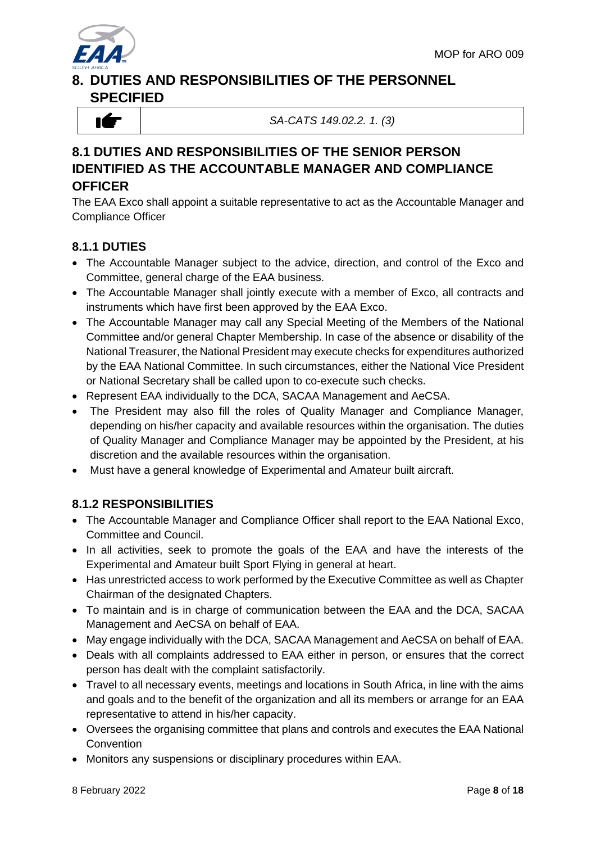

# **8. DUTIES AND RESPONSIBILITIES OF THE PERSONNEL SPECIFIED**



*SA-CATS 149.02.2. 1. (3)*

# **8.1 DUTIES AND RESPONSIBILITIES OF THE SENIOR PERSON IDENTIFIED AS THE ACCOUNTABLE MANAGER AND COMPLIANCE OFFICER**

The EAA Exco shall appoint a suitable representative to act as the Accountable Manager and Compliance Officer

### **8.1.1 DUTIES**

- The Accountable Manager subject to the advice, direction, and control of the Exco and Committee, general charge of the EAA business.
- The Accountable Manager shall jointly execute with a member of Exco, all contracts and instruments which have first been approved by the EAA Exco.
- The Accountable Manager may call any Special Meeting of the Members of the National Committee and/or general Chapter Membership. In case of the absence or disability of the National Treasurer, the National President may execute checks for expenditures authorized by the EAA National Committee. In such circumstances, either the National Vice President or National Secretary shall be called upon to co-execute such checks.
- Represent EAA individually to the DCA, SACAA Management and AeCSA.
- The President may also fill the roles of Quality Manager and Compliance Manager, depending on his/her capacity and available resources within the organisation. The duties of Quality Manager and Compliance Manager may be appointed by the President, at his discretion and the available resources within the organisation.
- Must have a general knowledge of Experimental and Amateur built aircraft.

#### **8.1.2 RESPONSIBILITIES**

- The Accountable Manager and Compliance Officer shall report to the EAA National Exco, Committee and Council.
- In all activities, seek to promote the goals of the EAA and have the interests of the Experimental and Amateur built Sport Flying in general at heart.
- Has unrestricted access to work performed by the Executive Committee as well as Chapter Chairman of the designated Chapters.
- To maintain and is in charge of communication between the EAA and the DCA, SACAA Management and AeCSA on behalf of EAA.
- May engage individually with the DCA, SACAA Management and AeCSA on behalf of EAA.
- Deals with all complaints addressed to EAA either in person, or ensures that the correct person has dealt with the complaint satisfactorily.
- Travel to all necessary events, meetings and locations in South Africa, in line with the aims and goals and to the benefit of the organization and all its members or arrange for an EAA representative to attend in his/her capacity.
- Oversees the organising committee that plans and controls and executes the EAA National **Convention**
- Monitors any suspensions or disciplinary procedures within EAA.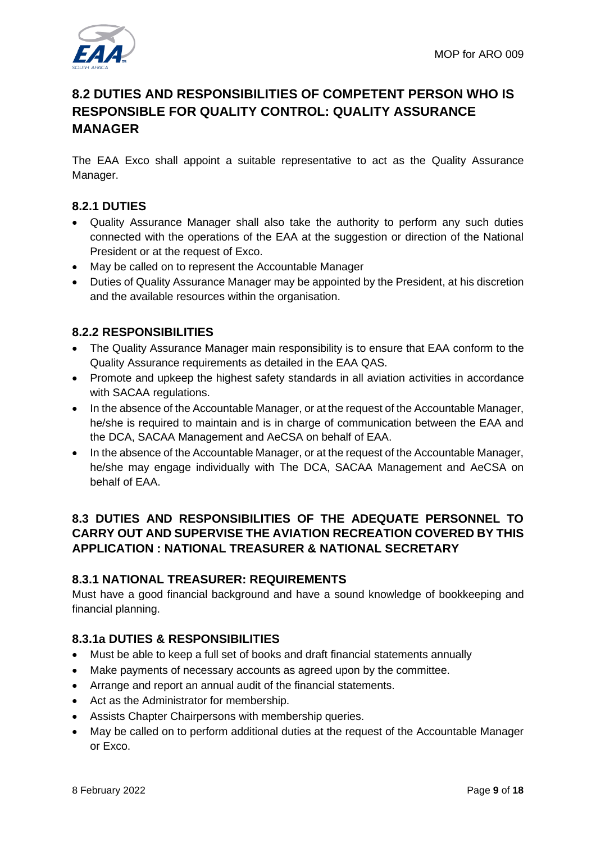# **8.2 DUTIES AND RESPONSIBILITIES OF COMPETENT PERSON WHO IS RESPONSIBLE FOR QUALITY CONTROL: QUALITY ASSURANCE MANAGER**

The EAA Exco shall appoint a suitable representative to act as the Quality Assurance Manager.

### **8.2.1 DUTIES**

- Quality Assurance Manager shall also take the authority to perform any such duties connected with the operations of the EAA at the suggestion or direction of the National President or at the request of Exco.
- May be called on to represent the Accountable Manager
- Duties of Quality Assurance Manager may be appointed by the President, at his discretion and the available resources within the organisation.

#### **8.2.2 RESPONSIBILITIES**

- The Quality Assurance Manager main responsibility is to ensure that EAA conform to the Quality Assurance requirements as detailed in the EAA QAS.
- Promote and upkeep the highest safety standards in all aviation activities in accordance with SACAA regulations.
- In the absence of the Accountable Manager, or at the request of the Accountable Manager, he/she is required to maintain and is in charge of communication between the EAA and the DCA, SACAA Management and AeCSA on behalf of EAA.
- In the absence of the Accountable Manager, or at the request of the Accountable Manager, he/she may engage individually with The DCA, SACAA Management and AeCSA on behalf of EAA.

#### **8.3 DUTIES AND RESPONSIBILITIES OF THE ADEQUATE PERSONNEL TO CARRY OUT AND SUPERVISE THE AVIATION RECREATION COVERED BY THIS APPLICATION : NATIONAL TREASURER & NATIONAL SECRETARY**

#### **8.3.1 NATIONAL TREASURER: REQUIREMENTS**

Must have a good financial background and have a sound knowledge of bookkeeping and financial planning.

#### **8.3.1a DUTIES & RESPONSIBILITIES**

- Must be able to keep a full set of books and draft financial statements annually
- Make payments of necessary accounts as agreed upon by the committee.
- Arrange and report an annual audit of the financial statements.
- Act as the Administrator for membership.
- Assists Chapter Chairpersons with membership queries.
- May be called on to perform additional duties at the request of the Accountable Manager or Exco.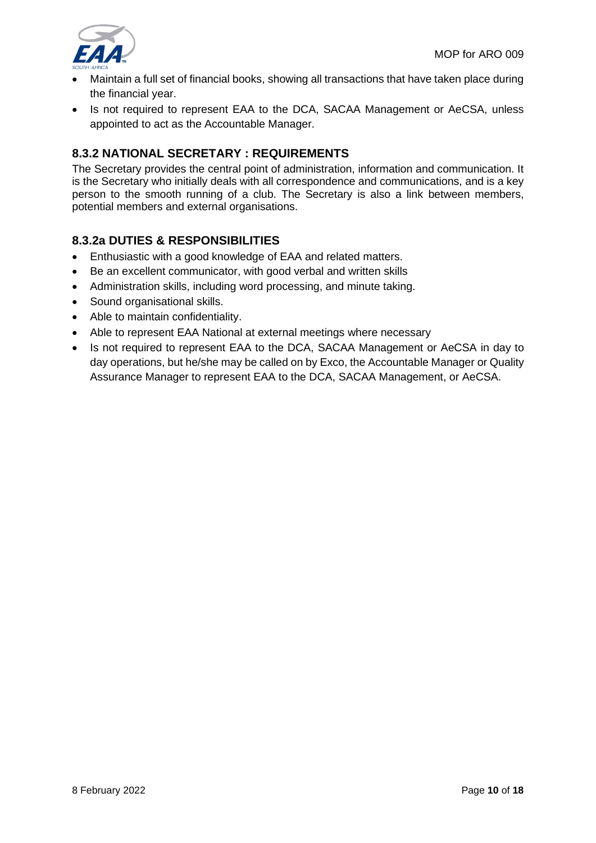

- Maintain a full set of financial books, showing all transactions that have taken place during the financial year.
- Is not required to represent EAA to the DCA, SACAA Management or AeCSA, unless appointed to act as the Accountable Manager.

#### **8.3.2 NATIONAL SECRETARY : REQUIREMENTS**

The Secretary provides the central point of administration, information and communication. It is the Secretary who initially deals with all correspondence and communications, and is a key person to the smooth running of a club. The Secretary is also a link between members, potential members and external organisations.

#### **8.3.2a DUTIES & RESPONSIBILITIES**

- Enthusiastic with a good knowledge of EAA and related matters.
- Be an excellent communicator, with good verbal and written skills
- Administration skills, including word processing, and minute taking.
- Sound organisational skills.
- Able to maintain confidentiality.
- Able to represent EAA National at external meetings where necessary
- Is not required to represent EAA to the DCA, SACAA Management or AeCSA in day to day operations, but he/she may be called on by Exco, the Accountable Manager or Quality Assurance Manager to represent EAA to the DCA, SACAA Management, or AeCSA.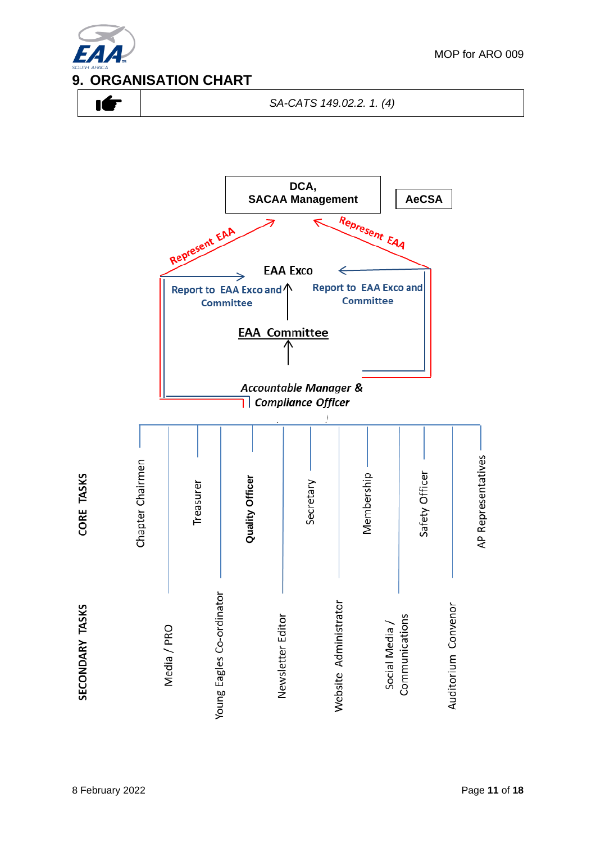



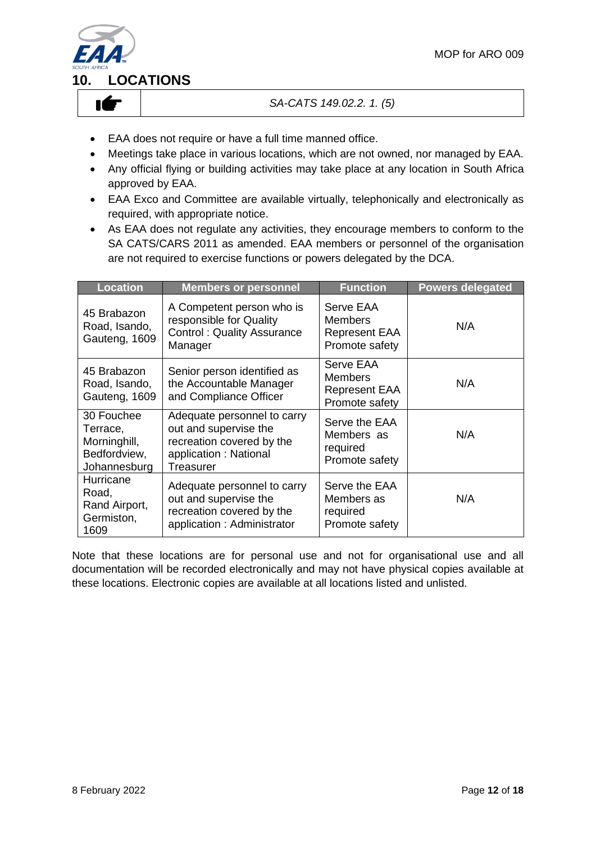

#### *SA-CATS 149.02.2. 1. (5)*

- EAA does not require or have a full time manned office.
- Meetings take place in various locations, which are not owned, nor managed by EAA.
- Any official flying or building activities may take place at any location in South Africa approved by EAA.
- EAA Exco and Committee are available virtually, telephonically and electronically as required, with appropriate notice.
- As EAA does not regulate any activities, they encourage members to conform to the SA CATS/CARS 2011 as amended. EAA members or personnel of the organisation are not required to exercise functions or powers delegated by the DCA.

| <b>Location</b>                                                        | <b>Members or personnel</b>                                                                                                    | <b>Function</b>                                                       | <b>Powers delegated</b> |
|------------------------------------------------------------------------|--------------------------------------------------------------------------------------------------------------------------------|-----------------------------------------------------------------------|-------------------------|
| 45 Brabazon<br>Road, Isando,<br>Gauteng, 1609                          | A Competent person who is<br>responsible for Quality<br><b>Control: Quality Assurance</b><br>Manager                           | Serve EAA<br><b>Members</b><br><b>Represent EAA</b><br>Promote safety | N/A                     |
| 45 Brabazon<br>Road, Isando,<br>Gauteng, 1609                          | Senior person identified as<br>the Accountable Manager<br>and Compliance Officer                                               | Serve EAA<br><b>Members</b><br><b>Represent EAA</b><br>Promote safety | N/A                     |
| 30 Fouchee<br>Terrace,<br>Morninghill,<br>Bedfordview,<br>Johannesburg | Adequate personnel to carry<br>out and supervise the<br>recreation covered by the<br>application: National<br><b>Treasurer</b> | Serve the EAA<br>Members as<br>required<br>Promote safety             | N/A                     |
| Hurricane<br>Road,<br>Rand Airport,<br>Germiston,<br>1609              | Adequate personnel to carry<br>out and supervise the<br>recreation covered by the<br>application: Administrator                | Serve the EAA<br>Members as<br>required<br>Promote safety             | N/A                     |

Note that these locations are for personal use and not for organisational use and all documentation will be recorded electronically and may not have physical copies available at these locations. Electronic copies are available at all locations listed and unlisted.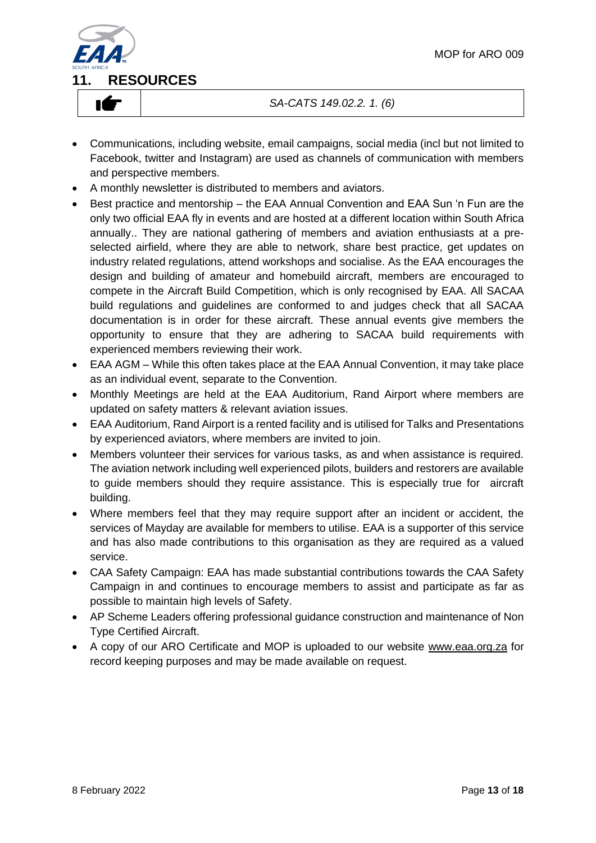

#### *SA-CATS 149.02.2. 1. (6)*

- Communications, including website, email campaigns, social media (incl but not limited to Facebook, twitter and Instagram) are used as channels of communication with members and perspective members.
- A monthly newsletter is distributed to members and aviators.
- Best practice and mentorship the EAA Annual Convention and EAA Sun 'n Fun are the only two official EAA fly in events and are hosted at a different location within South Africa annually.. They are national gathering of members and aviation enthusiasts at a preselected airfield, where they are able to network, share best practice, get updates on industry related regulations, attend workshops and socialise. As the EAA encourages the design and building of amateur and homebuild aircraft, members are encouraged to compete in the Aircraft Build Competition, which is only recognised by EAA. All SACAA build regulations and guidelines are conformed to and judges check that all SACAA documentation is in order for these aircraft. These annual events give members the opportunity to ensure that they are adhering to SACAA build requirements with experienced members reviewing their work.
- EAA AGM While this often takes place at the EAA Annual Convention, it may take place as an individual event, separate to the Convention.
- Monthly Meetings are held at the EAA Auditorium, Rand Airport where members are updated on safety matters & relevant aviation issues.
- EAA Auditorium, Rand Airport is a rented facility and is utilised for Talks and Presentations by experienced aviators, where members are invited to join.
- Members volunteer their services for various tasks, as and when assistance is required. The aviation network including well experienced pilots, builders and restorers are available to guide members should they require assistance. This is especially true for aircraft building.
- Where members feel that they may require support after an incident or accident, the services of Mayday are available for members to utilise. EAA is a supporter of this service and has also made contributions to this organisation as they are required as a valued service.
- CAA Safety Campaign: EAA has made substantial contributions towards the CAA Safety Campaign in and continues to encourage members to assist and participate as far as possible to maintain high levels of Safety.
- AP Scheme Leaders offering professional guidance construction and maintenance of Non Type Certified Aircraft.
- A copy of our ARO Certificate and MOP is uploaded to our website [www.eaa.org.za](http://www.eaa.org.za/) for record keeping purposes and may be made available on request.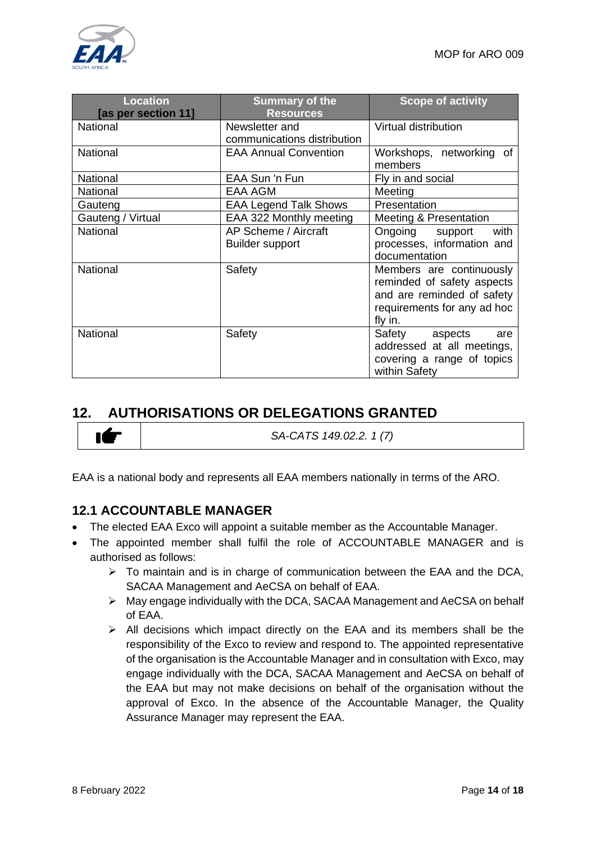

| <b>Location</b><br>[as per section 11] | <b>Summary of the</b><br><b>Resources</b>      | <b>Scope of activity</b>                                                                                                       |
|----------------------------------------|------------------------------------------------|--------------------------------------------------------------------------------------------------------------------------------|
| National                               | Newsletter and<br>communications distribution  | Virtual distribution                                                                                                           |
| <b>National</b>                        | <b>EAA Annual Convention</b>                   | Workshops, networking of<br>members                                                                                            |
| National                               | EAA Sun 'n Fun                                 | Fly in and social                                                                                                              |
| National                               | <b>EAA AGM</b>                                 | Meeting                                                                                                                        |
| Gauteng                                | <b>EAA Legend Talk Shows</b>                   | Presentation                                                                                                                   |
| Gauteng / Virtual                      | EAA 322 Monthly meeting                        | Meeting & Presentation                                                                                                         |
| <b>National</b>                        | AP Scheme / Aircraft<br><b>Builder support</b> | with<br>Ongoing<br>support<br>processes, information and<br>documentation                                                      |
| <b>National</b>                        | Safety                                         | Members are continuously<br>reminded of safety aspects<br>and are reminded of safety<br>requirements for any ad hoc<br>fly in. |
| National                               | Safety                                         | Safety aspects<br>are<br>addressed at all meetings,<br>covering a range of topics<br>within Safety                             |

# **12. AUTHORISATIONS OR DELEGATIONS GRANTED**

*SA-CATS 149.02.2. 1 (7)*

EAA is a national body and represents all EAA members nationally in terms of the ARO.

#### **12.1 ACCOUNTABLE MANAGER**

- The elected EAA Exco will appoint a suitable member as the Accountable Manager.
- The appointed member shall fulfil the role of ACCOUNTABLE MANAGER and is authorised as follows:
	- ➢ To maintain and is in charge of communication between the EAA and the DCA, SACAA Management and AeCSA on behalf of EAA.
	- ➢ May engage individually with the DCA, SACAA Management and AeCSA on behalf of EAA.
	- ➢ All decisions which impact directly on the EAA and its members shall be the responsibility of the Exco to review and respond to. The appointed representative of the organisation is the Accountable Manager and in consultation with Exco, may engage individually with the DCA, SACAA Management and AeCSA on behalf of the EAA but may not make decisions on behalf of the organisation without the approval of Exco. In the absence of the Accountable Manager, the Quality Assurance Manager may represent the EAA.

IÉ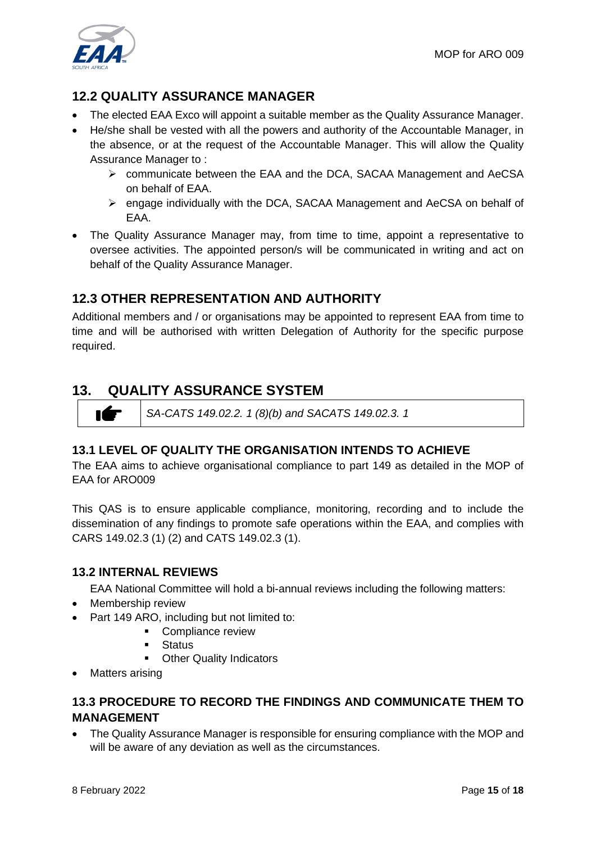

# **12.2 QUALITY ASSURANCE MANAGER**

- The elected EAA Exco will appoint a suitable member as the Quality Assurance Manager.
- He/she shall be vested with all the powers and authority of the Accountable Manager, in the absence, or at the request of the Accountable Manager. This will allow the Quality Assurance Manager to :
	- ➢ communicate between the EAA and the DCA, SACAA Management and AeCSA on behalf of EAA.
	- ➢ engage individually with the DCA, SACAA Management and AeCSA on behalf of EAA.
- The Quality Assurance Manager may, from time to time, appoint a representative to oversee activities. The appointed person/s will be communicated in writing and act on behalf of the Quality Assurance Manager.

## **12.3 OTHER REPRESENTATION AND AUTHORITY**

Additional members and / or organisations may be appointed to represent EAA from time to time and will be authorised with written Delegation of Authority for the specific purpose required.

# **13. QUALITY ASSURANCE SYSTEM**

*SA-CATS 149.02.2. 1 (8)(b) and SACATS 149.02.3. 1*

#### **13.1 LEVEL OF QUALITY THE ORGANISATION INTENDS TO ACHIEVE**

The EAA aims to achieve organisational compliance to part 149 as detailed in the MOP of EAA for ARO009

This QAS is to ensure applicable compliance, monitoring, recording and to include the dissemination of any findings to promote safe operations within the EAA, and complies with CARS 149.02.3 (1) (2) and CATS 149.02.3 (1).

#### **13.2 INTERNAL REVIEWS**

EAA National Committee will hold a bi-annual reviews including the following matters:

• Membership review

IÉ

- Part 149 ARO, including but not limited to:
	- Compliance review
	- **Status**
	- Other Quality Indicators
- Matters arising

#### **13.3 PROCEDURE TO RECORD THE FINDINGS AND COMMUNICATE THEM TO MANAGEMENT**

• The Quality Assurance Manager is responsible for ensuring compliance with the MOP and will be aware of any deviation as well as the circumstances.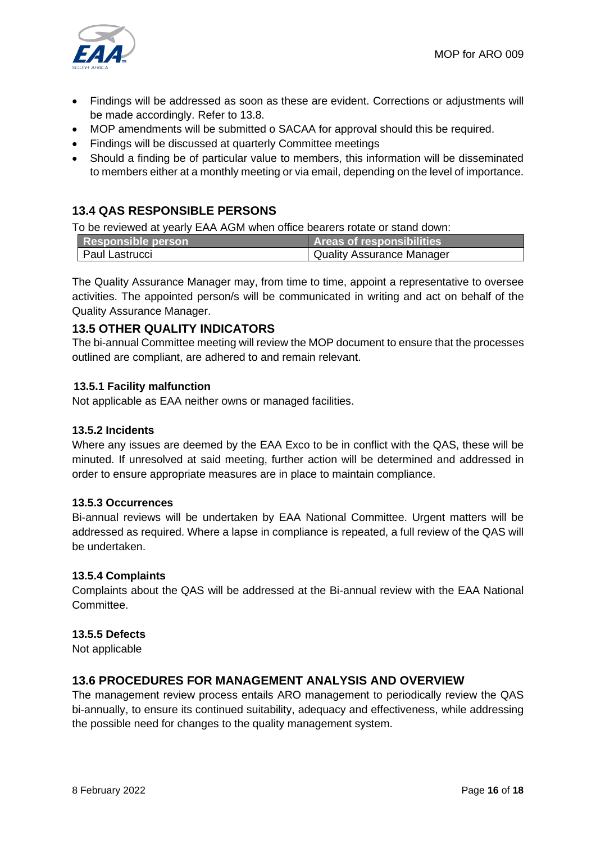

- Findings will be addressed as soon as these are evident. Corrections or adjustments will be made accordingly. Refer to 13.8.
- MOP amendments will be submitted o SACAA for approval should this be required.
- Findings will be discussed at quarterly Committee meetings
- Should a finding be of particular value to members, this information will be disseminated to members either at a monthly meeting or via email, depending on the level of importance.

### **13.4 QAS RESPONSIBLE PERSONS**

To be reviewed at yearly EAA AGM when office bearers rotate or stand down:

| Responsible person | <b>Areas of responsibilities</b> |
|--------------------|----------------------------------|
| Paul Lastrucci     | Quality Assurance Manager        |

The Quality Assurance Manager may, from time to time, appoint a representative to oversee activities. The appointed person/s will be communicated in writing and act on behalf of the Quality Assurance Manager.

#### **13.5 OTHER QUALITY INDICATORS**

The bi-annual Committee meeting will review the MOP document to ensure that the processes outlined are compliant, are adhered to and remain relevant.

#### **13.5.1 Facility malfunction**

Not applicable as EAA neither owns or managed facilities.

#### **13.5.2 Incidents**

Where any issues are deemed by the EAA Exco to be in conflict with the QAS, these will be minuted. If unresolved at said meeting, further action will be determined and addressed in order to ensure appropriate measures are in place to maintain compliance.

#### **13.5.3 Occurrences**

Bi-annual reviews will be undertaken by EAA National Committee. Urgent matters will be addressed as required. Where a lapse in compliance is repeated, a full review of the QAS will be undertaken.

#### **13.5.4 Complaints**

Complaints about the QAS will be addressed at the Bi-annual review with the EAA National Committee.

#### **13.5.5 Defects**

Not applicable

#### **13.6 PROCEDURES FOR MANAGEMENT ANALYSIS AND OVERVIEW**

The management review process entails ARO management to periodically review the QAS bi-annually, to ensure its continued suitability, adequacy and effectiveness, while addressing the possible need for changes to the quality management system.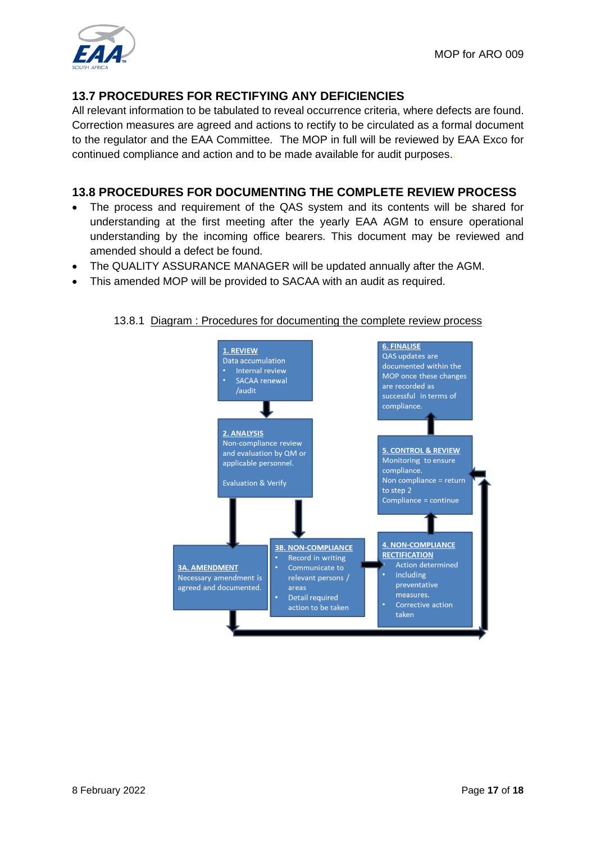

#### **13.7 PROCEDURES FOR RECTIFYING ANY DEFICIENCIES**

All relevant information to be tabulated to reveal occurrence criteria, where defects are found. Correction measures are agreed and actions to rectify to be circulated as a formal document to the regulator and the EAA Committee. The MOP in full will be reviewed by EAA Exco for continued compliance and action and to be made available for audit purposes..

#### **13.8 PROCEDURES FOR DOCUMENTING THE COMPLETE REVIEW PROCESS**

- The process and requirement of the QAS system and its contents will be shared for understanding at the first meeting after the yearly EAA AGM to ensure operational understanding by the incoming office bearers. This document may be reviewed and amended should a defect be found.
- The QUALITY ASSURANCE MANAGER will be updated annually after the AGM.
- This amended MOP will be provided to SACAA with an audit as required.



#### 13.8.1 Diagram : Procedures for documenting the complete review process